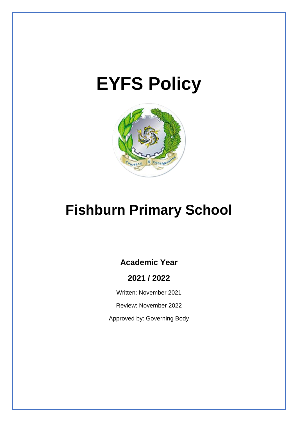# **EYFS Policy**



## **Fishburn Primary School**

## **Academic Year**

## **2021 / 2022**

Written: November 2021

Review: November 2022

Approved by: Governing Body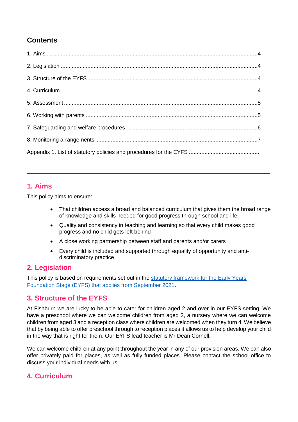## **Contents**

## **1. Aims**

This policy aims to ensure:

- That children access a broad and balanced curriculum that gives them the broad range of knowledge and skills needed for good progress through school and life
- Quality and consistency in teaching and learning so that every child makes good progress and no child gets left behind
- A close working partnership between staff and parents and/or carers
- Every child is included and supported through equality of opportunity and antidiscriminatory practice

## **2. Legislation**

This policy is based on requirements set out in the [statutory framework for the Early Years](https://www.gov.uk/government/publications/early-years-foundation-stage-framework--2/)  Foundation Stage (EYFS) that [applies from September 2021.](https://www.gov.uk/government/publications/early-years-foundation-stage-framework--2/)

## **3. Structure of the EYFS**

At Fishburn we are lucky to be able to cater for children aged 2 and over in our EYFS setting. We have a preschool where we can welcome children from aged 2, a nursery where we can welcome children from aged 3 and a reception class where children are welcomed when they turn 4. We believe that by being able to offer preschool through to reception places it allows us to help develop your child in the way that is right for them. Our EYFS lead teacher is Mr Dean Cornell.

We can welcome children at any point throughout the year in any of our provision areas. We can also offer privately paid for places, as well as fully funded places. Please contact the school office to discuss your individual needs with us.

## **4. Curriculum**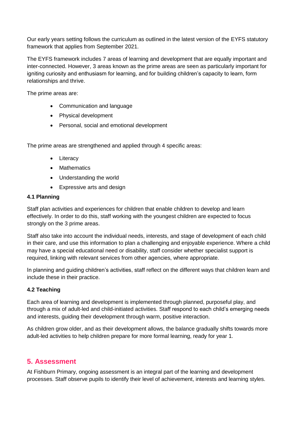Our early years setting follows the curriculum as outlined in the latest version of the EYFS statutory framework that applies from September 2021.

The EYFS framework includes 7 areas of learning and development that are equally important and inter-connected. However, 3 areas known as the prime areas are seen as particularly important for igniting curiosity and enthusiasm for learning, and for building children's capacity to learn, form relationships and thrive.

The prime areas are:

- Communication and language
- Physical development
- Personal, social and emotional development

The prime areas are strengthened and applied through 4 specific areas:

- Literacy
- Mathematics
- Understanding the world
- Expressive arts and design

#### **4.1 Planning**

Staff plan activities and experiences for children that enable children to develop and learn effectively. In order to do this, staff working with the youngest children are expected to focus strongly on the 3 prime areas.

Staff also take into account the individual needs, interests, and stage of development of each child in their care, and use this information to plan a challenging and enjoyable experience. Where a child may have a special educational need or disability, staff consider whether specialist support is required, linking with relevant services from other agencies, where appropriate.

In planning and guiding children's activities, staff reflect on the different ways that children learn and include these in their practice.

#### **4.2 Teaching**

Each area of learning and development is implemented through planned, purposeful play, and through a mix of adult-led and child-initiated activities. Staff respond to each child's emerging needs and interests, guiding their development through warm, positive interaction.

As children grow older, and as their development allows, the balance gradually shifts towards more adult-led activities to help children prepare for more formal learning, ready for year 1.

## **5. Assessment**

At Fishburn Primary, ongoing assessment is an integral part of the learning and development processes. Staff observe pupils to identify their level of achievement, interests and learning styles.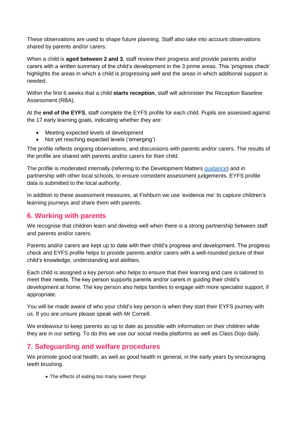These observations are used to shape future planning. Staff also take into account observations shared by parents and/or carers.

When a child is **aged between 2 and 3**, staff review their progress and provide parents and/or carers with a written summary of the child's development in the 3 prime areas. This 'progress check' highlights the areas in which a child is progressing well and the areas in which additional support is needed.

Within the first 6 weeks that a child **starts reception**, staff will administer the Reception Baseline Assessment (RBA).

At the **end of the EYFS**, staff complete the EYFS profile for each child. Pupils are assessed against the 17 early learning goals, indicating whether they are:

- Meeting expected levels of development
- Not yet reaching expected levels ('emerging')

The profile reflects ongoing observations, and discussions with parents and/or carers. The results of the profile are shared with parents and/or carers for their child.

The profile is moderated internally (referring to the Development Matters [guidance\)](https://www.gov.uk/government/publications/development-matters--2) and in partnership with other local schools, to ensure consistent assessment judgements. EYFS profile data is submitted to the local authority.

In addition to these assessment measures, at Fishburn we use 'evidence me' to capture children's learning journeys and share them with parents.

## **6. Working with parents**

We recognise that children learn and develop well when there is a strong partnership between staff and parents and/or carers.

Parents and/or carers are kept up to date with their child's progress and development. The progress check and EYFS profile helps to provide parents and/or carers with a well-rounded picture of their child's knowledge, understanding and abilities.

Each child is assigned a key person who helps to ensure that their learning and care is tailored to meet their needs. The key person supports parents and/or carers in guiding their child's development at home. The key person also helps families to engage with more specialist support, if appropriate.

You will be made aware of who your child's key person is when they start their EYFS journey with us. If you are unsure please speak with Mr Cornell.

We endeavour to keep parents as up to date as possible with information on their children while they are in our setting. To do this we use our social media platforms as well as Class Dojo daily.

## **7. Safeguarding and welfare procedures**

We promote good oral health, as well as good health in general, in the early years by encouraging teeth brushing.

• The effects of eating too many sweet things